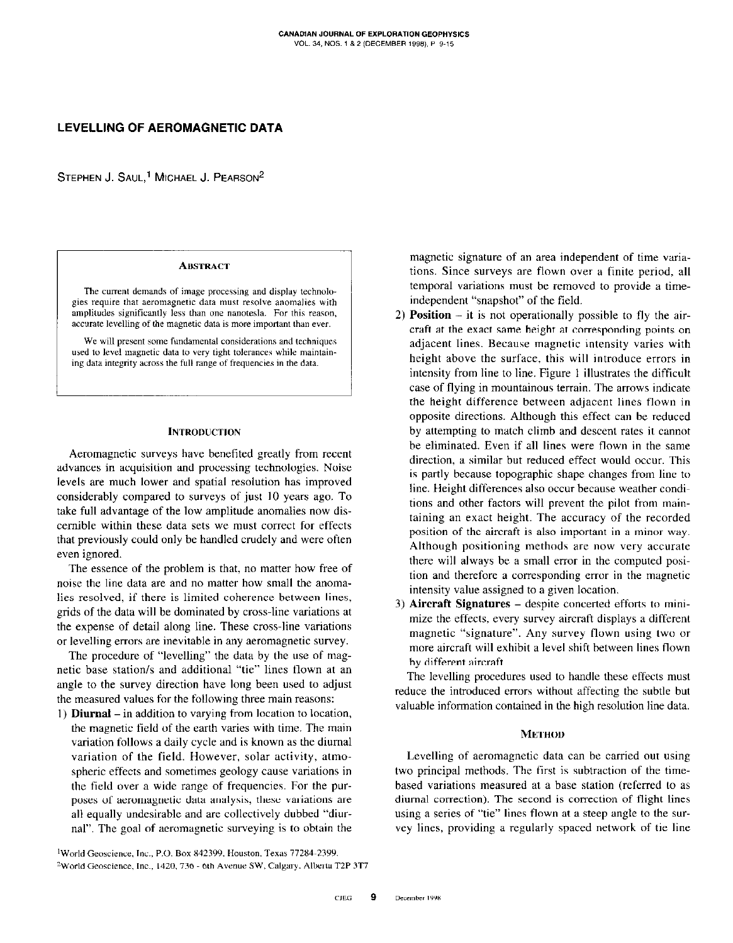# LEVELLING OF AEROMAGNETIC DATA

STEPHEN J. SAUL,<sup>1</sup> MICHAEL J. PEARSON<sup>2</sup>

#### **ABSTRACT**

The current demands of image processing and display technologies require that aeromagnetic data must resolve anomalies with amplitudes significantly less than one nanotesla. For this reason. accurate levelling of the magnetic data is more important than ever.

We will present some fundamental considerations and techniques used to level magnetic data to very tight tolerances while maintaining data integrity across the full range of frequencies in the data.

### **INTRODUCTION**

Aeromagnetic surveys have benefited greatly from recent advances in acquisition and processing technologies. Noise levels are much lower and spatial resolution has improved considerably compared to surveys of just IO years ago. To take full advantage of the low amplitude anomalies now discernible within these data sets we must correct for effects that previously could only he handled crudely and were often even ignored.

The essence of the problem is that, no matter how free of noise the line data are and no matter how small the anomalies resolved, if there is limited coherence between lines, grids of the data will be dominated by cross-line variations at the expense of detail along line. These cross-line variations or levelling errors are inevitable in any aeromagnetic survey.

The procedure of "levelling" the data by the use of magnetic base station/s and additional "tie" lines flown at an angle to the survey direction have long been used to adjust the measured values for the following three main reasons:

1) **Diurnal** – in addition to varying from location to location, the magnetic field of the earth varies with time. The main variation follows a daily cycle and is known as the diurnal variation of the field. However, solar activity, atmospheric effects and sometimes geology cause variations in the field over a wide range of frequencies. For the purposes of aeromagnetic data analysis, these variations are all equally undesirable and are collectively dubbed "diurnal". The goal of aeromagnetic surveying is to obtain the

magnetic signature of an area independent of time variations. Since surveys are flown over a finite period, all temporal variations must be removed to provide a timeindependent "snapshot" of the field.

- 2) **Position**  $-$  it is not operationally possible to fly the aircraft at the exact same height at corresponding points on adjacent lines. Because magnetic intensity varies with height above the surface, this will introduce errors in intensity from line to line. Figure I illustrates the difficult case of flying in mountainous terrain. The arrows indicate the height difference between adjacent lines flown in opposite directions. Although this effect can be reduced by attempting to match climb and descent rates it cannot he eliminated. Even if all lines were tlown in the same direction, a similar but reduced effect would occur. This is partly because topographic shape changes from line to line. Height differences also occur because weather conditions and other factors will prevent the pilot from maintaining an exact height. The accuracy of the recorded position of the aircraft is also important in a minor way. Although positioning methods are now very accurate there will always be a small error in the computed position and therefore a corresponding error in the magnetic intensity value assigned to a given location.
- 3) Aircraft Signatures despite concerted efforts to minimize the effects, every survey aircraft displays a different magnetic "signature". Any survey flown using two or more aircraft will exhihit a level shift between lines flown by different aircraft.

The levelling procedures used to handle these effects must reduce the introduced errors without affecting the subtle but valuable information contained in the high resolution line data.

## METHOD

Levelling of aeromagnetic data can he carried out using two principal methods. The first is subtraction of the timebased variations measured at a base station (referred to as diurnal correction). The second is correction of flight lines using a series of "tie" lines flown at a steep angle to the survey lines, providing a regularly spaced network of tie line

'World Geoscience, Inc., P.O. Box X42399, Houston, Texas 77284~2399. <sup>2</sup>World Geoscience, Inc., 1420, 736 - 6th Avenue SW, Calgary. Alberta T2P 3T7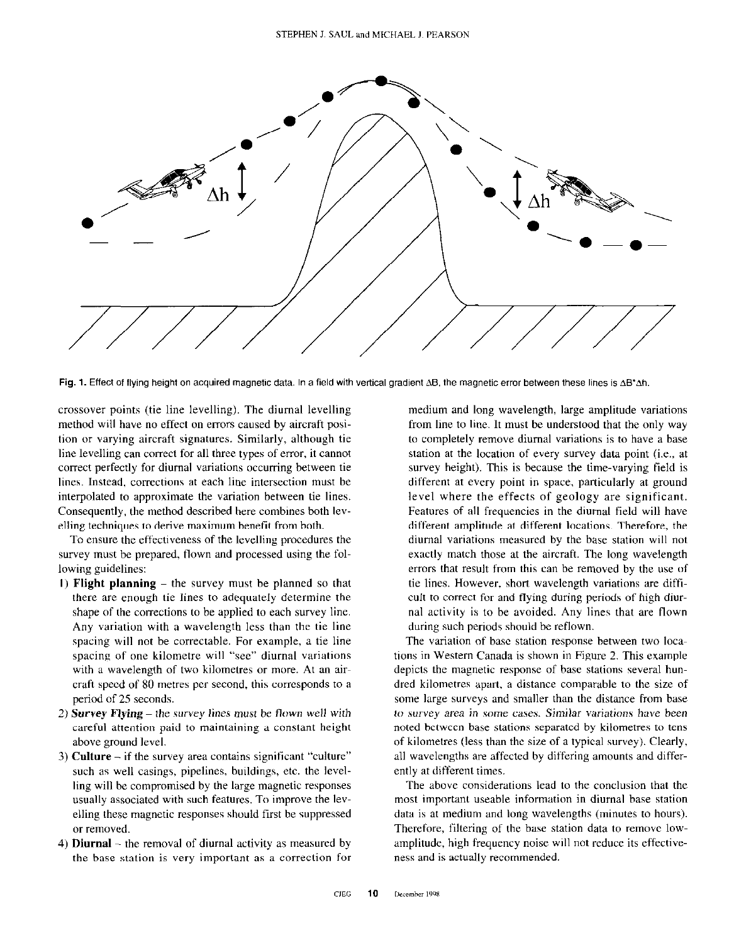

Fig. 1. Effect of flying height on acquired magnetic data. In a field with vertical gradient  $\Delta B$ , the magnetic error between these lines is  $\Delta B^* \Delta h$ .

crossover points (tie line levelling). The diurnal levelling method will have no effect on errors caused by aircraft position or varying aircraft signatures. Similarly, although tie line levelling can correct for all three types of error, it cannot correct perfectly for diurnal variations occurring between tie lines. Instead, corrections at each line intersection must be interpolated to approximate the variation between tie lines. Consequently, the method described here combines both levelling techniques to derive maximum benefit from both.

To ensure the effectiveness of the levelling procedures the survey must be prepared, flown and processed using the following guidelines:

- 1) Flight planning  $-$  the survey must be planned so that there are enough tie lines to adequately determine the shape of the corrections to he applied to each survey line. Any variation with a wavelength less than the tie line spacing will not be correctable. For example, a tie line spacing of one kilometre will "see" diurnal variations with a wavelength of two kilometres or more. At an aircraft speed of 80 metres per second, this corresponds to a period of 25 seconds.
- 2) Survey Flying the survey lines must be flown well with careful attention paid to maintaining a constant height above ground level.
- 3) Culture if the survey area contains significant "culture" such as well casings, pipelines, buildings, etc. the levelling will be compromised by the large magnetic responses usually associated with such features. To improve the levelling these magnetic responses should first be suppressed or removed.
- 4) **Diurnal** the removal of diurnal activity as measured by the base station is very important as a correction for

medium and long wavelength, large amplitude variations from line to line. It must be understood that the only way to completely remove diurnal variations is to have a base station at the location of every survey data point (i.e., at survey height). This is because the time-varying field is different at every point in space. particularly at ground level where the effects of geology are significant. Features of all frequencies in the diurnal field will have different amplitude at different locations. Therefore, the diurnal variations measured by the base station will not exactly match those at the aircraft. The long wavelength errors that result from this can he removed by the use of tie lines. However. short wavelength variations are difficult to correct for and flying during periods of high diurnal activity is to he avoided. Any lines that are flown during such periods should be reflown.

The variation of base station response between two locations in Western Canada is shown in Figure 2. This example depicts the magnetic response of base stations several hundred kilometres apert, a distance comparable to the size of some large surveys and smaller than the distance from base to survey area in some cases. Similar variations have been noted between base stations separated by kilometres to tens of kilometres (less than the size of a typical survey). Clearly, all wavelengths are affected by differing amounts and differently at different times.

The above considerations lead to the conclusion that the most important useable information in diurnal base station data is at medium and long wavelengths (minutes to hours). Therefore, filtering of the base station data to remove lowamplitude, high frequency noise will not reduce its effectiveness and is actually recommended.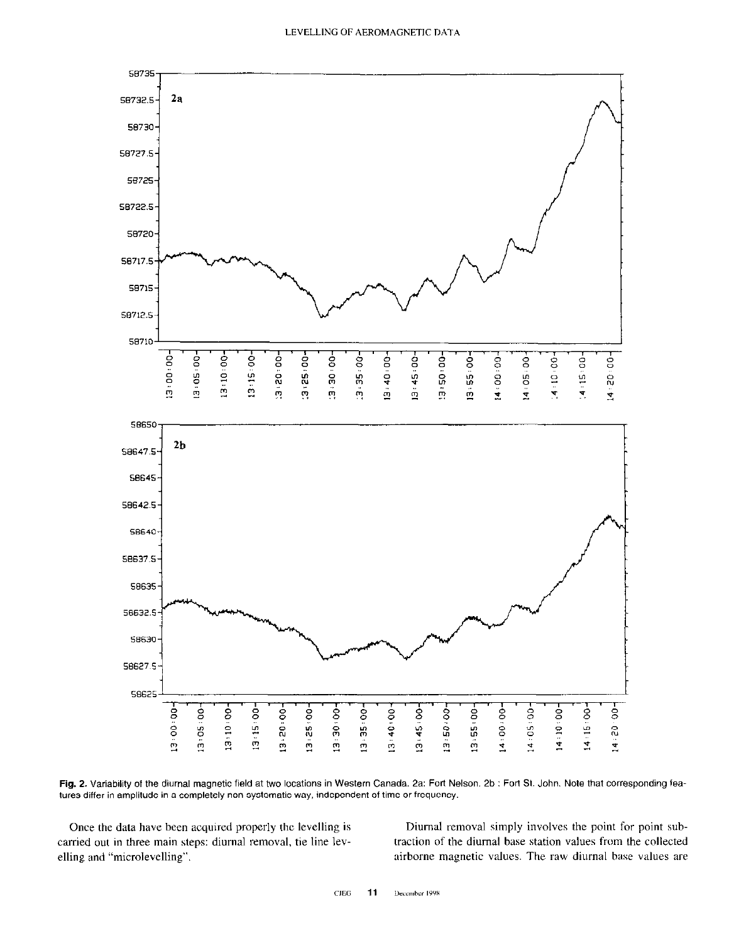

Fig. 2. Variability of the diurnal magnetic field at two locations in Western Canada. 2a: Fort Nelson. 2b : Fort St. John. Note that corresponding features differ in amplitude in a completely non-systematic way, independent of time or frequency.

Once the data have been acquired properly the levelling is Diurnal removal simply involves the point for point sub-

carried cut in three main steps: diurnal removal, tie line lev- traction of the diurnal base station values from the collected elling and "microlevelling". The raw diurnal base values are airborne magnetic values. The raw diurnal base values are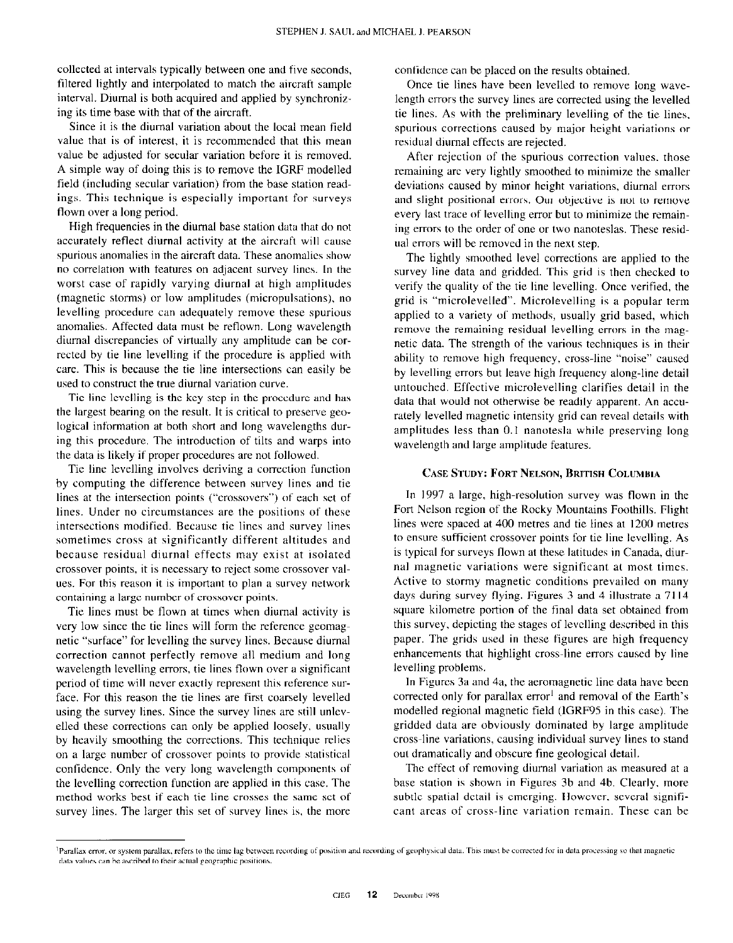collected at intervals typically between one and five seconds, filtered lightly and interpolated to match the aircraft sample interval. Diurnal is both acquired and applied by synchronizing its time base with that of the aircraft.

Since it is the diurnal variation about the local mean field value that is of interest, it is recommended that this mean value be adjusted for secular variation before it is removed. A simple way of doing this is to remove the IGRF modelled field (including secular variation) from the base station readings. This technique is especially important for surveys flown over a long period.

High frequencies in the diurnal base station data that do not accurately reflect diurnal activity at the aircraft will cause spurious anomalies in the aircraft data. These anomalies show no correlation with features on adjacent survey lines. In the worst case of rapidly varying diurnal at high amplitudes (magnetic storms) or low amplitudes (micropulsations), no levelling procedure can adequately remove these spurious anomalies. Affected data must be reflown. Long wavelength diurnal discrepancies of virtually any amplitude can be corrected by tie line levelling if the procedure is applied with care. This is because the tie line intersections can easily be used to construct the true diurnal variation curve.

Tie line levelling is the key step in the procedure and has the largest bearing on the result. It is critical to preserve geological information at both short and long wavelengths during this procedure. The introduction of tilts and warps into the data is likely if proper procedures are not followed.

Tie line levelling involves deriving a correction function by computing the difference between survey lines and tie lines at the intersection points ("crossovers") of each set of lines. Under no circumstances are the positions of these intersections modified. Because tie lines and survey lines sometimes cross at significantly different altitudes and because residual diurnal effects may exist at isolated crossover points, it is necessary to reject some crossover values. For this reason it is important to plan a survey network containing a large number of crossover points.

Tie lines must be flown at times when diurnal activity is very low since the tie lines will form the reference geomagnetic "surface" for levelling the survey lines. Because diurnal correction cannot perfectly remove all medium and long wavelength levelling errors, tie lines flown over a significant period of time will never exactly represent this reference surface. For this reason the tie lines are first coarsely levelled using the survey lines. Since the survey lines arc still unlevelled these corrections can only be applied loosely, usually by heavily smoothing the corrections. This technique relies on a large number of crossover points to provide statistical confidence. Only the very long wavelength components of the levelling correction function are applied in this case. The method works best if each tie line crosses the same set of survey lines. The larger this set of survey lines is, the more confidence can be placed on the results obtained.

Once tie lines have been levelled to remove long wavelength errors the survey lines are corrected using the levelled tie lines. As with the preliminary levelling of the tie lines. spurious corrections caused by major height variations or residual diurnal effects are rejected.

After rejection of the spurious correction values. those remaining are very lightly smoothed to minimize the smaller deviations caused by minor height variations, diurnal errors and slight positional errors. Our objective is not to remove every last trace of levelling error but to minimize the remaining errors to the order of one or two nanoteslas. These residual errors will be removed in the next step.

The lightly smoothed level corrections are applied to the survey line data and gridded. This grid is then checked to verify the quality of the tie line levelling. Once verified, the grid is "microlevelled". Microlevelling is a popular term applied to a variety of methods, usually grid based, which remove the remaining residual levelling errors in the magnetic data. The strength of the various techniques is in their ability to remove high frequency, cross-line "noise" caused by levelling errors but leave high frequency along-line detail untouched. Effective microlevelling clarifies detail in the data that would not otherwise be readily apparent. An accurately levelled magnetic intensity grid can reveal details with amplitudes less than 0.1 nanotesla while preserving long wavelength and large amplitude features.

### **CASE STUDY: FORT NELSON, BRITISH COLUMBIA**

In 1997 a large, high-resolution survey wus flown in the Fort Nelson region of the Rocky Mountains Foothills. Flight lines were spaced at 400 metres and tie lines at 1200 metres to ensure sufficient crossover points for tie line levelling. As is typical for surveys flown at these latitudes in Canada, diurnal magnetic variations were significant at most times. Active to stormy magnetic conditions prevailed on many days during survey flying. Figures 3 and 4 illustrate a 7114 square kilometre portion of the final data set obtained from this survey, depicting the stages of levelling described in this paper. The grids used in these figures are high frequency enhancements that highlight cross-line errors caused by line levelling problems.

In Figures 3a and 4a, the aeromagnetic line data have been corrected only for parallax error<sup>1</sup> and removal of the Earth's modelled regional magnetic field (IGRF95 in this case). The gridded data are obviously dominated by large amplitude cross-line variations, causing individual survey lines to stand out dramatically and obscure fine geological detail.

The effect of removing diurnal variation as measured at a base station is shown in Figures 3b and 4b. Clearly. more subtle spatial detail is emerging. However. several significant areas of cross-line variation remain. These can be

Parallax error, or system parallax, refers to the time lag between recording of position and recording of geophysical data. This must be corrected for in data processing so that magnetic data values can be ascribed to their actual geographic positions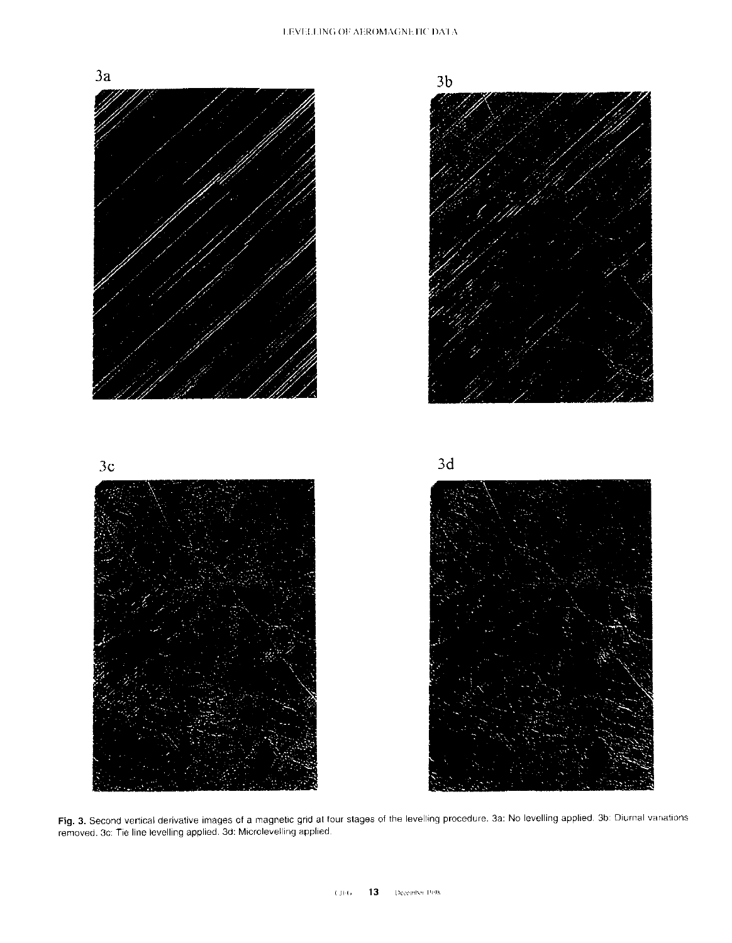

Fig. 3. Second vertical derivative images of a magnetic grid at four stages of the levelling procedure. 3a: No levelling applied. 3b: Diurnal variations removed. 3c: Tie line levelling applied. 3d: Microlevelling applied.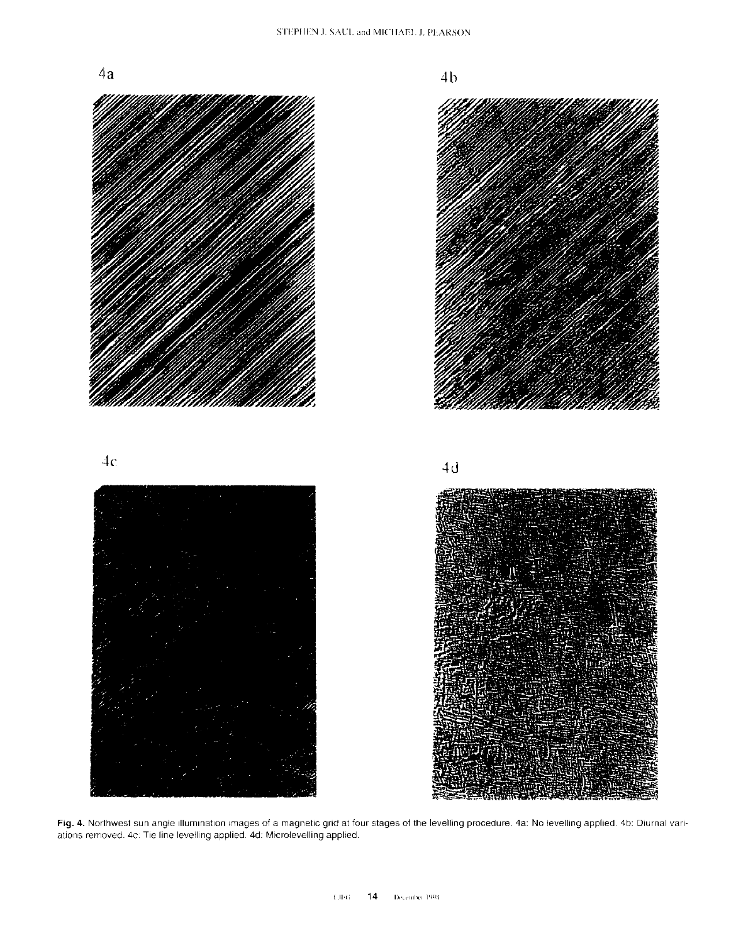



Fig. 4. Northwest sun angle illumination images of a magnetic grid at four stages of the levelling procedure. 4a: No levelling applied. 4b: Diurnal variations removed. 4c: Tie line levelling applied. 4d: Microlevelling app